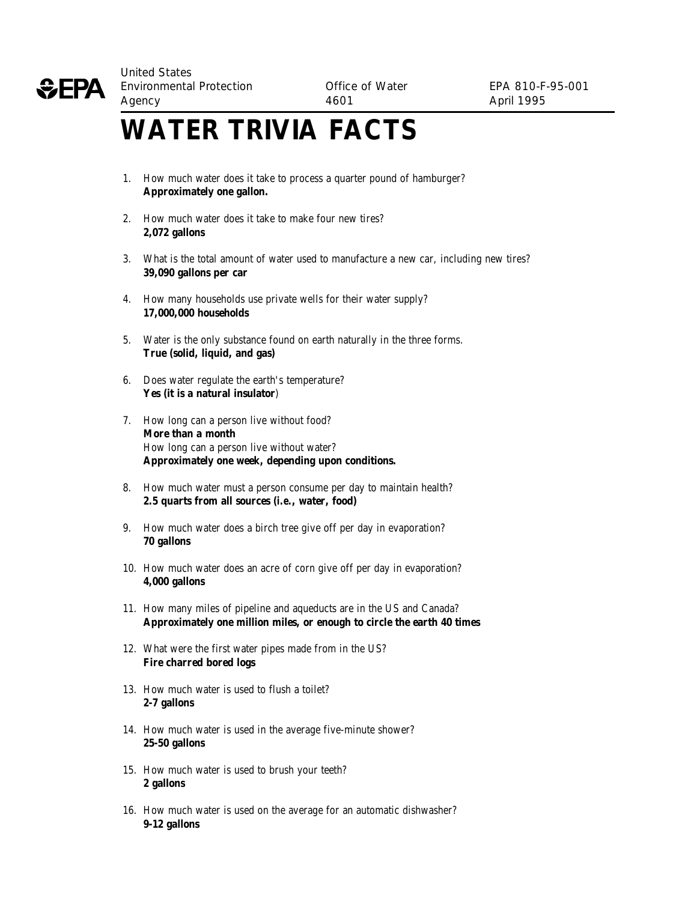

## **WATER TRIVIA FACTS**

- 1. How much water does it take to process a quarter pound of hamburger? **Approximately one gallon.**
- 2. How much water does it take to make four new tires? **2,072 gallons**
- 3. What is the total amount of water used to manufacture a new car, including new tires? **39,090 gallons per car**
- 4. How many households use private wells for their water supply? **17,000,000 households**
- 5. Water is the only substance found on earth naturally in the three forms. **True (solid, liquid, and gas)**
- 6. Does water regulate the earth's temperature? **Yes (it is a natural insulator**)
- 7. How long can a person live without food? **More than a month** How long can a person live without water? **Approximately one week, depending upon conditions.**
- 8. How much water must a person consume per day to maintain health? **2.5 quarts from all sources (***i.e.***, water, food)**
- 9. How much water does a birch tree give off per day in evaporation? **70 gallons**
- 10. How much water does an acre of corn give off per day in evaporation? **4,000 gallons**
- 11. How many miles of pipeline and aqueducts are in the US and Canada? **Approximately one million miles, or enough to circle the earth 40 times**
- 12. What were the first water pipes made from in the US? **Fire charred bored logs**
- 13. How much water is used to flush a toilet? **2-7 gallons**
- 14. How much water is used in the average five-minute shower? **25-50 gallons**
- 15. How much water is used to brush your teeth? **2 gallons**
- 16. How much water is used on the average for an automatic dishwasher? **9-12 gallons**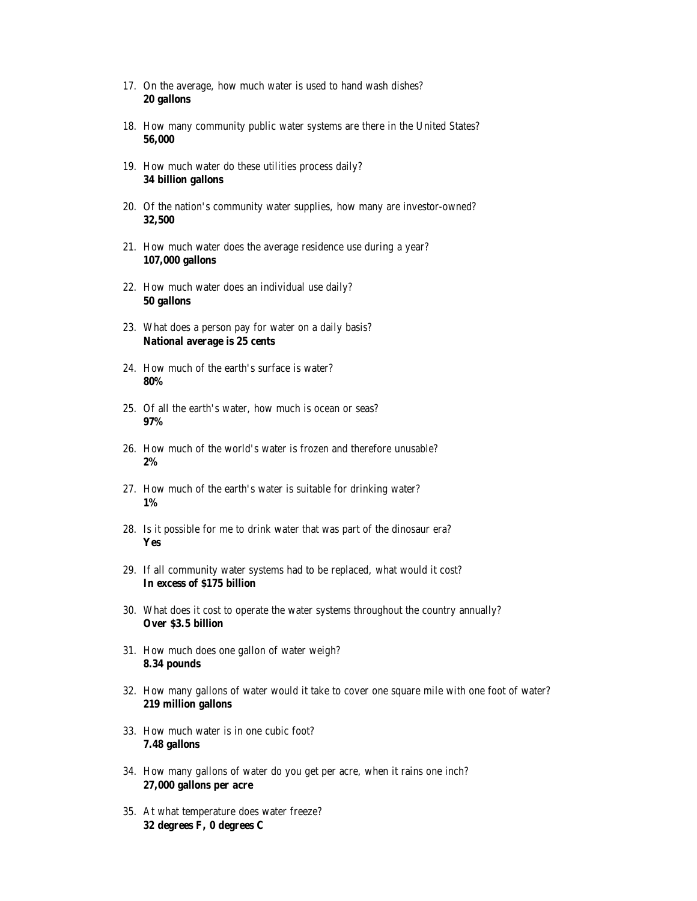- 17. On the average, how much water is used to hand wash dishes? **20 gallons**
- 18. How many community public water systems are there in the United States? **56,000**
- 19. How much water do these utilities process daily? **34 billion gallons**
- 20. Of the nation's community water supplies, how many are investor-owned? **32,500**
- 21. How much water does the average residence use during a year? **107,000 gallons**
- 22. How much water does an individual use daily? **50 gallons**
- 23. What does a person pay for water on a daily basis? **National average is 25 cents**
- 24. How much of the earth's surface is water? **80%**
- 25. Of all the earth's water, how much is ocean or seas? **97%**
- 26. How much of the world's water is frozen and therefore unusable? **2%**
- 27. How much of the earth's water is suitable for drinking water? **1%**
- 28. Is it possible for me to drink water that was part of the dinosaur era? **Yes**
- 29. If all community water systems had to be replaced, what would it cost? **In excess of \$175 billion**
- 30. What does it cost to operate the water systems throughout the country annually? **Over \$3.5 billion**
- 31. How much does one gallon of water weigh? **8.34 pounds**
- 32. How many gallons of water would it take to cover one square mile with one foot of water? **219 million gallons**
- 33. How much water is in one cubic foot? **7.48 gallons**
- 34. How many gallons of water do you get per acre, when it rains one inch? **27,000 gallons per acre**
- 35. At what temperature does water freeze? **32 degrees F, 0 degrees C**